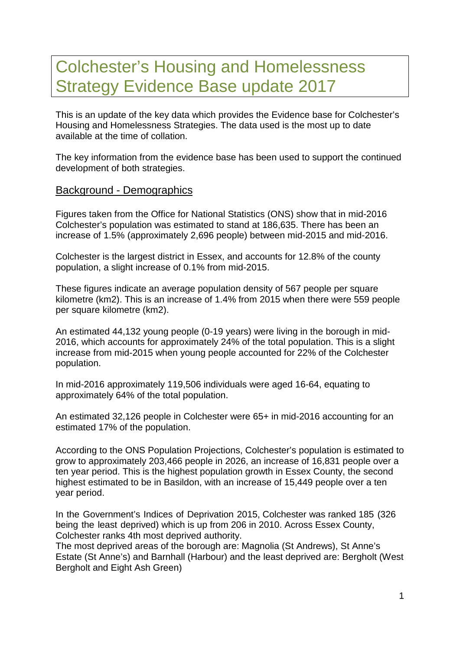# Colchester's Housing and Homelessness Strategy Evidence Base update 2017

This is an update of the key data which provides the Evidence base for Colchester's Housing and Homelessness Strategies. The data used is the most up to date available at the time of collation.

The key information from the evidence base has been used to support the continued development of both strategies.

#### Background - Demographics

Figures taken from the Office for National Statistics (ONS) show that in mid-2016 Colchester's population was estimated to stand at 186,635. There has been an increase of 1.5% (approximately 2,696 people) between mid-2015 and mid-2016.

Colchester is the largest district in Essex, and accounts for 12.8% of the county population, a slight increase of 0.1% from mid-2015.

These figures indicate an average population density of 567 people per square kilometre (km2). This is an increase of 1.4% from 2015 when there were 559 people per square kilometre (km2).

An estimated 44,132 young people (0-19 years) were living in the borough in mid-2016, which accounts for approximately 24% of the total population. This is a slight increase from mid-2015 when young people accounted for 22% of the Colchester population.

In mid-2016 approximately 119,506 individuals were aged 16-64, equating to approximately 64% of the total population.

An estimated 32,126 people in Colchester were 65+ in mid-2016 accounting for an estimated 17% of the population.

According to the ONS Population Projections, Colchester's population is estimated to grow to approximately 203,466 people in 2026, an increase of 16,831 people over a ten year period. This is the highest population growth in Essex County, the second highest estimated to be in Basildon, with an increase of 15,449 people over a ten year period.

In the Government's Indices of Deprivation 2015, Colchester was ranked 185 (326 being the least deprived) which is up from 206 in 2010. Across Essex County, Colchester ranks 4th most deprived authority.

The most deprived areas of the borough are: Magnolia (St Andrews), St Anne's Estate (St Anne's) and Barnhall (Harbour) and the least deprived are: Bergholt (West Bergholt and Eight Ash Green)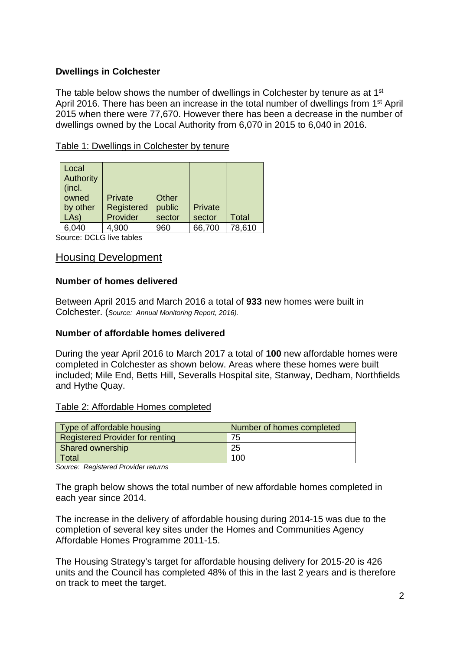#### **Dwellings in Colchester**

The table below shows the number of dwellings in Colchester by tenure as at 1<sup>st</sup> April 2016. There has been an increase in the total number of dwellings from 1<sup>st</sup> April 2015 when there were 77,670. However there has been a decrease in the number of dwellings owned by the Local Authority from 6,070 in 2015 to 6,040 in 2016.

| Local<br><b>Authority</b><br>(incl.<br>owned<br>by other<br>LAs) | Private<br>Registered<br>Provider | Other<br>public<br>sector | Private<br>sector | Total  |
|------------------------------------------------------------------|-----------------------------------|---------------------------|-------------------|--------|
| 6,040                                                            | 4,900                             | 960                       | 66,700            | 78,610 |

Source: DCLG live tables

# Housing Development

#### **Number of homes delivered**

Between April 2015 and March 2016 a total of **933** new homes were built in Colchester. (*Source: Annual Monitoring Report, 2016).*

#### **Number of affordable homes delivered**

During the year April 2016 to March 2017 a total of **100** new affordable homes were completed in Colchester as shown below. Areas where these homes were built included; Mile End, Betts Hill, Severalls Hospital site, Stanway, Dedham, Northfields and Hythe Quay.

#### Table 2: Affordable Homes completed

| Type of affordable housing             | Number of homes completed |  |  |
|----------------------------------------|---------------------------|--|--|
| <b>Registered Provider for renting</b> | 75                        |  |  |
| Shared ownership                       | -25                       |  |  |
| Total                                  | 100                       |  |  |

*Source: Registered Provider returns* 

The graph below shows the total number of new affordable homes completed in each year since 2014.

The increase in the delivery of affordable housing during 2014-15 was due to the completion of several key sites under the Homes and Communities Agency Affordable Homes Programme 2011-15.

The Housing Strategy's target for affordable housing delivery for 2015-20 is 426 units and the Council has completed 48% of this in the last 2 years and is therefore on track to meet the target.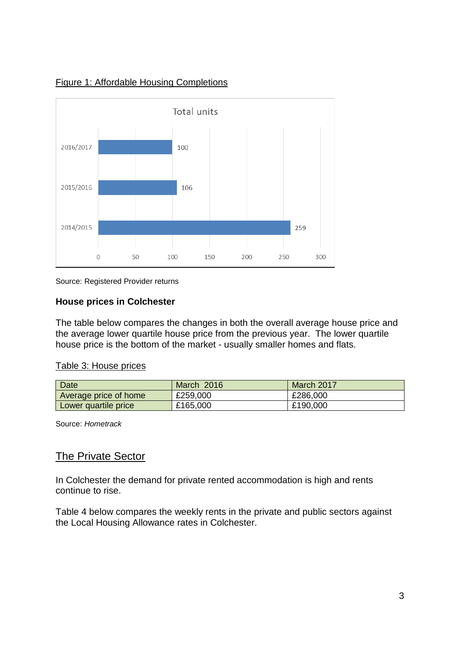

### Figure 1: Affordable Housing Completions

Source: Registered Provider returns

#### **House prices in Colchester**

The table below compares the changes in both the overall average house price and the average lower quartile house price from the previous year. The lower quartile house price is the bottom of the market - usually smaller homes and flats.

#### Table 3: House prices

| Date                  | March 2016 | March 2017 |
|-----------------------|------------|------------|
| Average price of home | £259,000   | £286,000   |
| Lower quartile price  | £165,000   | £190,000   |

Source: *Hometrack*

# **The Private Sector**

In Colchester the demand for private rented accommodation is high and rents continue to rise.

Table 4 below compares the weekly rents in the private and public sectors against the Local Housing Allowance rates in Colchester.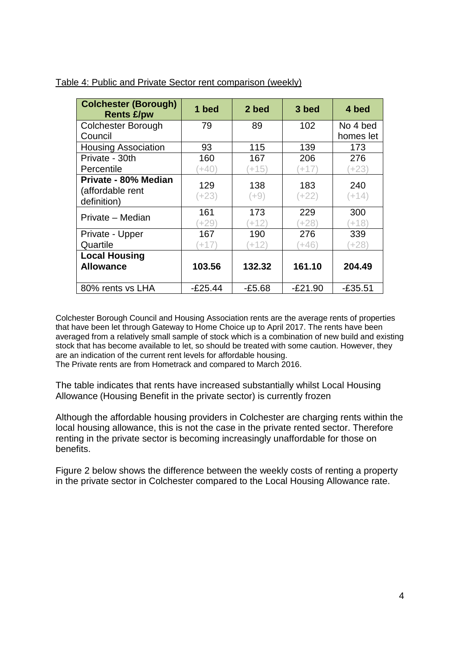| <b>Colchester (Borough)</b><br><b>Rents £/pw</b>        | 1 bed          | 2 bed          | 3 bed          | 4 bed          |
|---------------------------------------------------------|----------------|----------------|----------------|----------------|
| <b>Colchester Borough</b>                               | 79             | 89             | 102            | No 4 bed       |
| Council                                                 |                |                |                | homes let      |
| <b>Housing Association</b>                              | 93             | 115            | 139            | 173            |
| Private - 30th                                          | 160            | 167            | 206            | 276            |
| Percentile                                              | $(+40)$        | $+15)$         | $+17$          | $(+23)$        |
| Private - 80% Median<br>(affordable rent<br>definition) | 129<br>$(+23)$ | 138<br>(+9)    | 183<br>$(+22)$ | 240<br>$(+14)$ |
| Private - Median                                        | 161<br>$+29$   | 173<br>$(+12)$ | 229<br>$(+28)$ | 300<br>$(+18)$ |
| Private - Upper                                         | 167            | 190            | 276            | 339            |
| Quartile                                                | $(+17)$        | $+12)$         | $+46)$         | $+28)$         |
| <b>Local Housing</b>                                    |                |                |                |                |
| <b>Allowance</b>                                        | 103.56         | 132.32         | 161.10         | 204.49         |
| 80% rents vs LHA                                        | $-E25.44$      | $-E5.68$       | $-E21.90$      | -£35.51        |

#### Table 4: Public and Private Sector rent comparison (weekly)

Colchester Borough Council and Housing Association rents are the average rents of properties that have been let through Gateway to Home Choice up to April 2017. The rents have been averaged from a relatively small sample of stock which is a combination of new build and existing stock that has become available to let, so should be treated with some caution. However, they are an indication of the current rent levels for affordable housing.

The Private rents are from Hometrack and compared to March 2016.

The table indicates that rents have increased substantially whilst Local Housing Allowance (Housing Benefit in the private sector) is currently frozen

Although the affordable housing providers in Colchester are charging rents within the local housing allowance, this is not the case in the private rented sector. Therefore renting in the private sector is becoming increasingly unaffordable for those on benefits.

Figure 2 below shows the difference between the weekly costs of renting a property in the private sector in Colchester compared to the Local Housing Allowance rate.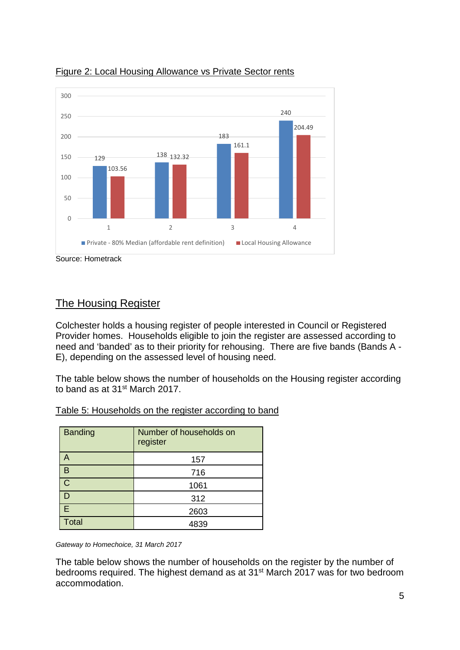



# The Housing Register

Colchester holds a housing register of people interested in Council or Registered Provider homes. Households eligible to join the register are assessed according to need and 'banded' as to their priority for rehousing. There are five bands (Bands A - E), depending on the assessed level of housing need.

The table below shows the number of households on the Housing register according to band as at 31st March 2017.

| <b>Banding</b> | Number of households on<br>register |
|----------------|-------------------------------------|
| A              | 157                                 |
| В              | 716                                 |
| $\mathsf C$    | 1061                                |
| D              | 312                                 |
| E              | 2603                                |
| <b>Total</b>   | 4839                                |

Table 5: Households on the register according to band

*Gateway to Homechoice, 31 March 2017*

The table below shows the number of households on the register by the number of bedrooms required. The highest demand as at 31st March 2017 was for two bedroom accommodation.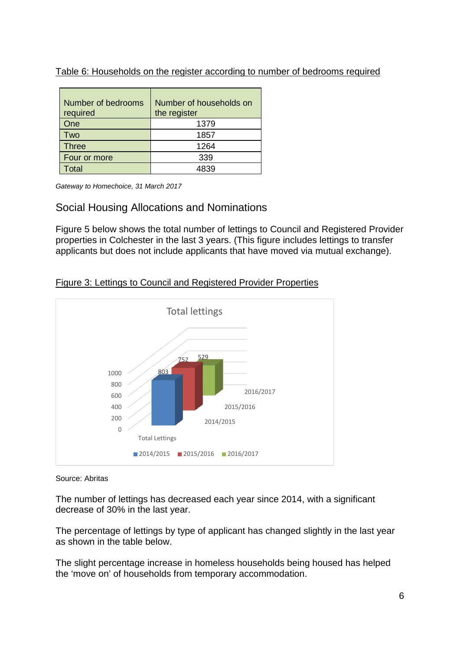| Table 6: Households on the register according to number of bedrooms required |  |  |  |  |
|------------------------------------------------------------------------------|--|--|--|--|
|                                                                              |  |  |  |  |

| Number of bedrooms<br>required | Number of households on<br>the register |
|--------------------------------|-----------------------------------------|
| One                            | 1379                                    |
| Two                            | 1857                                    |
| <b>Three</b>                   | 1264                                    |
| Four or more                   | 339                                     |
| ⊺otal                          | 4839                                    |

*Gateway to Homechoice, 31 March 2017*

# Social Housing Allocations and Nominations

Figure 5 below shows the total number of lettings to Council and Registered Provider properties in Colchester in the last 3 years. (This figure includes lettings to transfer applicants but does not include applicants that have moved via mutual exchange).



# Figure 3: Lettings to Council and Registered Provider Properties

#### Source: Abritas

The number of lettings has decreased each year since 2014, with a significant decrease of 30% in the last year.

The percentage of lettings by type of applicant has changed slightly in the last year as shown in the table below.

The slight percentage increase in homeless households being housed has helped the 'move on' of households from temporary accommodation.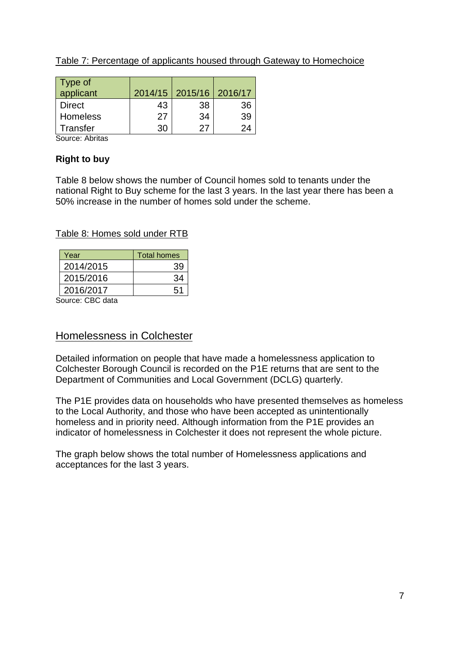| Table 7: Percentage of applicants housed through Gateway to Homechoice |
|------------------------------------------------------------------------|
|------------------------------------------------------------------------|

| Type of<br>applicant |    | 2014/15   2015/16   2016/17 |    |
|----------------------|----|-----------------------------|----|
| <b>Direct</b>        | 43 | 38                          | 36 |
| Homeless             | 27 | 34                          | 39 |
| Transfer             | 30 | 27                          | 9Δ |

Source: Abritas

# **Right to buy**

Table 8 below shows the number of Council homes sold to tenants under the national Right to Buy scheme for the last 3 years. In the last year there has been a 50% increase in the number of homes sold under the scheme.

# Table 8: Homes sold under RTB

| Year      | <b>Total homes</b> |
|-----------|--------------------|
| 2014/2015 | 39                 |
| 2015/2016 | 34                 |
| 2016/2017 | 51                 |
| .         |                    |

Source: CBC data

# Homelessness in Colchester

Detailed information on people that have made a homelessness application to Colchester Borough Council is recorded on the P1E returns that are sent to the Department of Communities and Local Government (DCLG) quarterly.

The P1E provides data on households who have presented themselves as homeless to the Local Authority, and those who have been accepted as unintentionally homeless and in priority need. Although information from the P1E provides an indicator of homelessness in Colchester it does not represent the whole picture.

The graph below shows the total number of Homelessness applications and acceptances for the last 3 years.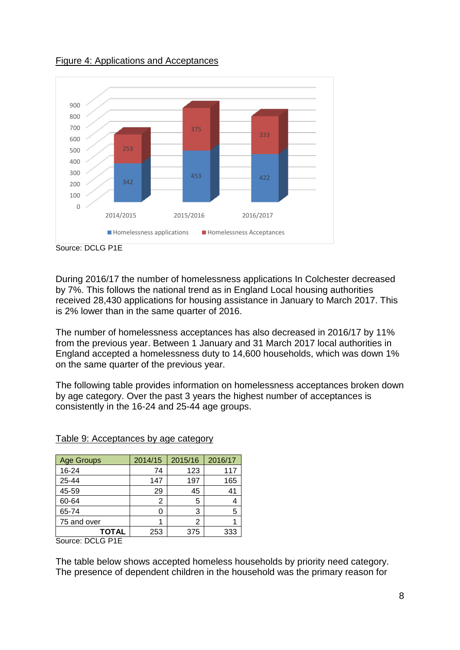

Figure 4: Applications and Acceptances

During 2016/17 the number of homelessness applications In Colchester decreased by 7%. This follows the national trend as in England Local housing authorities received 28,430 applications for housing assistance in January to March 2017. This is 2% lower than in the same quarter of 2016.

The number of homelessness acceptances has also decreased in 2016/17 by 11% from the previous year. Between 1 January and 31 March 2017 local authorities in England accepted a homelessness duty to 14,600 households, which was down 1% on the same quarter of the previous year.

The following table provides information on homelessness acceptances broken down by age category. Over the past 3 years the highest number of acceptances is consistently in the 16-24 and 25-44 age groups.

| <b>Age Groups</b> | 2014/15 | 2015/16 | 2016/17 |
|-------------------|---------|---------|---------|
| 16-24             | 74      | 123     | 117     |
| 25-44             | 147     | 197     | 165     |
| 45-59             | 29      | 45      | 41      |
| 60-64             | 2       | 5       |         |
| 65-74             | O       | 3       | 5       |
| 75 and over       |         | 2       |         |
| <b>TOTAL</b>      | 253     | 375     | 333     |

#### Table 9: Acceptances by age category

Source: DCLG P1E

The table below shows accepted homeless households by priority need category. The presence of dependent children in the household was the primary reason for

Source: DCLG P1E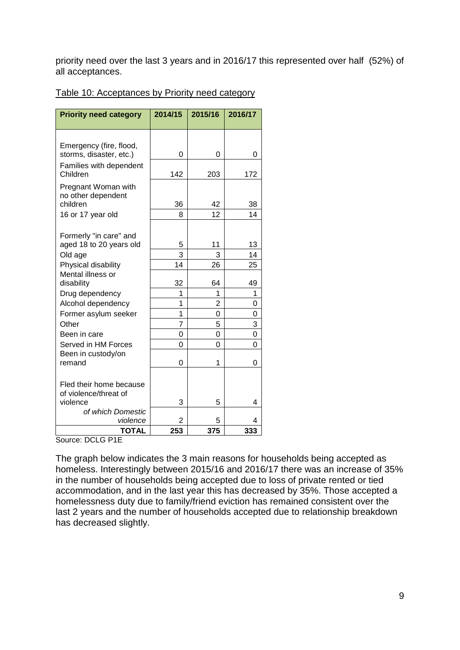priority need over the last 3 years and in 2016/17 this represented over half (52%) of all acceptances.

|--|

| <b>Priority need category</b>                      | 2014/15        | 2015/16        | 2016/17 |
|----------------------------------------------------|----------------|----------------|---------|
|                                                    |                |                |         |
| Emergency (fire, flood,<br>storms, disaster, etc.) | 0              | 0              | 0       |
| Families with dependent<br>Children                | 142            | 203            | 172     |
| Pregnant Woman with<br>no other dependent          |                |                |         |
| children                                           | 36             | 42             | 38      |
| 16 or 17 year old                                  | 8              | 12             | 14      |
|                                                    |                |                |         |
| Formerly "in care" and<br>aged 18 to 20 years old  | 5              | 11             | 13      |
| Old age                                            | 3              | 3              | 14      |
| Physical disability                                | 14             | 26             | 25      |
| Mental illness or                                  |                |                |         |
| disability                                         | 32             | 64             | 49      |
| Drug dependency                                    | 1              | 1              | 1       |
| Alcohol dependency                                 | $\overline{1}$ | $\overline{2}$ | 0       |
| Former asylum seeker                               | 1              | 0              | 0       |
| Other                                              | 7              | 5              | 3       |
| Been in care                                       | 0              | 0              | 0       |
| Served in HM Forces                                | 0              | 0              | 0       |
| Been in custody/on<br>remand                       | 0              | 1              |         |
|                                                    |                |                | 0       |
| Fled their home because                            |                |                |         |
| of violence/threat of                              |                |                |         |
| violence                                           | 3              | 5              | 4       |
| of which Domestic<br>violence                      |                | 5              | 4       |
| <b>TOTAL</b>                                       | 2<br>253       | 375            | 333     |

Source: DCLG P1E

The graph below indicates the 3 main reasons for households being accepted as homeless. Interestingly between 2015/16 and 2016/17 there was an increase of 35% in the number of households being accepted due to loss of private rented or tied accommodation, and in the last year this has decreased by 35%. Those accepted a homelessness duty due to family/friend eviction has remained consistent over the last 2 years and the number of households accepted due to relationship breakdown has decreased slightly.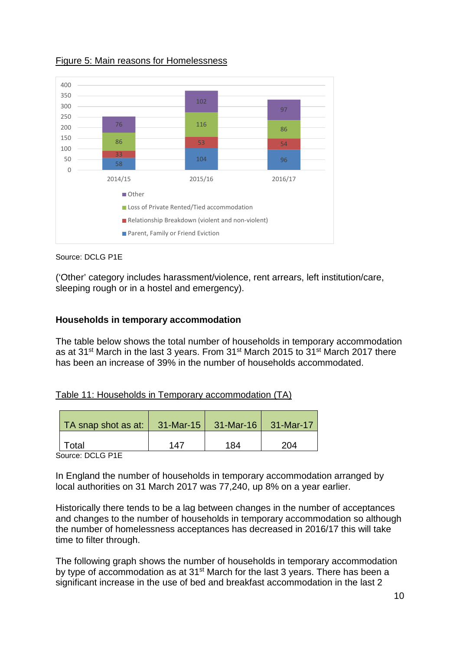

#### Figure 5: Main reasons for Homelessness

#### Source: DCLG P1E

('Other' category includes harassment/violence, rent arrears, left institution/care, sleeping rough or in a hostel and emergency).

#### **Households in temporary accommodation**

The table below shows the total number of households in temporary accommodation as at 31st March in the last 3 years. From 31st March 2015 to 31st March 2017 there has been an increase of 39% in the number of households accommodated.

#### Table 11: Households in Temporary accommodation (TA)

| TA snap shot as at: | $31$ -Mar-15 | $31-Mar-16$ | 31-Mar-17 |
|---------------------|--------------|-------------|-----------|
| Total               | 147          | 184         | 204       |

Source: DCLG P1E

In England the number of households in temporary accommodation arranged by local authorities on 31 March 2017 was 77,240, up 8% on a year earlier.

Historically there tends to be a lag between changes in the number of acceptances and changes to the number of households in temporary accommodation so although the number of homelessness acceptances has decreased in 2016/17 this will take time to filter through.

The following graph shows the number of households in temporary accommodation by type of accommodation as at 31<sup>st</sup> March for the last 3 years. There has been a significant increase in the use of bed and breakfast accommodation in the last 2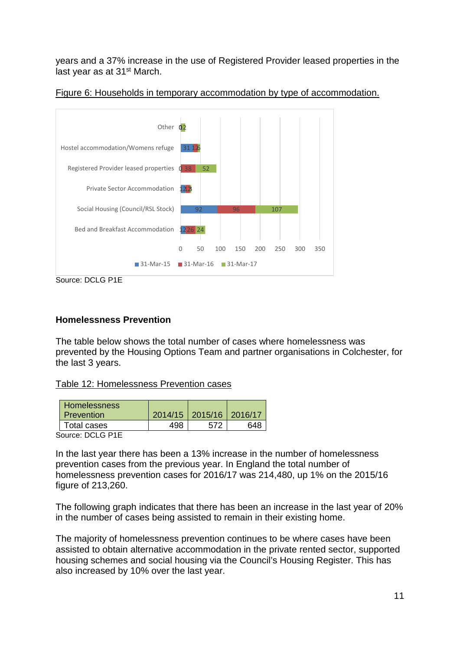years and a 37% increase in the use of Registered Provider leased properties in the last year as at 31<sup>st</sup> March.





#### **Homelessness Prevention**

The table below shows the total number of cases where homelessness was prevented by the Housing Options Team and partner organisations in Colchester, for the last 3 years.

Table 12: Homelessness Prevention cases

| <b>Homelessness</b><br><b>Prevention</b> | 2014/15   2015/16   2016/17 |      |
|------------------------------------------|-----------------------------|------|
| Total cases                              |                             | 64.R |
| <b>DOI O DIE</b>                         |                             |      |

Source: DCLG P1E

In the last year there has been a 13% increase in the number of homelessness prevention cases from the previous year. In England the total number of homelessness prevention cases for 2016/17 was 214,480, up 1% on the 2015/16 figure of 213,260.

The following graph indicates that there has been an increase in the last year of 20% in the number of cases being assisted to remain in their existing home.

The majority of homelessness prevention continues to be where cases have been assisted to obtain alternative accommodation in the private rented sector, supported housing schemes and social housing via the Council's Housing Register. This has also increased by 10% over the last year.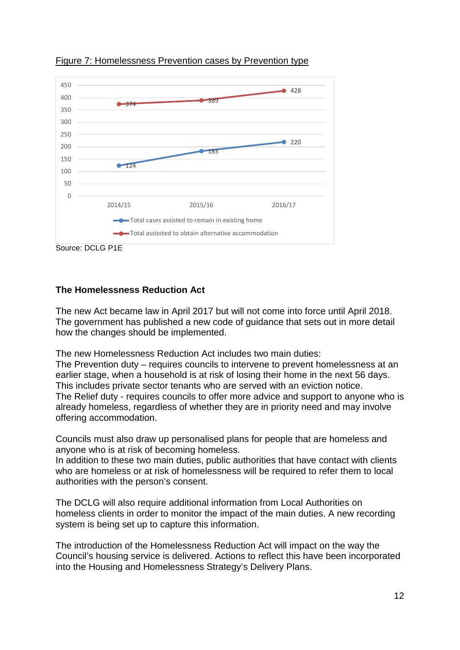

Figure 7: Homelessness Prevention cases by Prevention type

Source: DCLG P1E

#### **The Homelessness Reduction Act**

The new Act became law in April 2017 but will not come into force until April 2018. The government has published a new code of guidance that sets out in more detail how the changes should be implemented.

The new Homelessness Reduction Act includes two main duties: The Prevention duty – requires councils to intervene to prevent homelessness at an earlier stage, when a household is at risk of losing their home in the next 56 days. This includes private sector tenants who are served with an eviction notice. The Relief duty - requires councils to offer more advice and support to anyone who is already homeless, regardless of whether they are in priority need and may involve offering accommodation.

Councils must also draw up personalised plans for people that are homeless and anyone who is at risk of becoming homeless.

In addition to these two main duties, public authorities that have contact with clients who are homeless or at risk of homelessness will be required to refer them to local authorities with the person's consent.

The DCLG will also require additional information from Local Authorities on homeless clients in order to monitor the impact of the main duties. A new recording system is being set up to capture this information.

The introduction of the Homelessness Reduction Act will impact on the way the Council's housing service is delivered. Actions to reflect this have been incorporated into the Housing and Homelessness Strategy's Delivery Plans.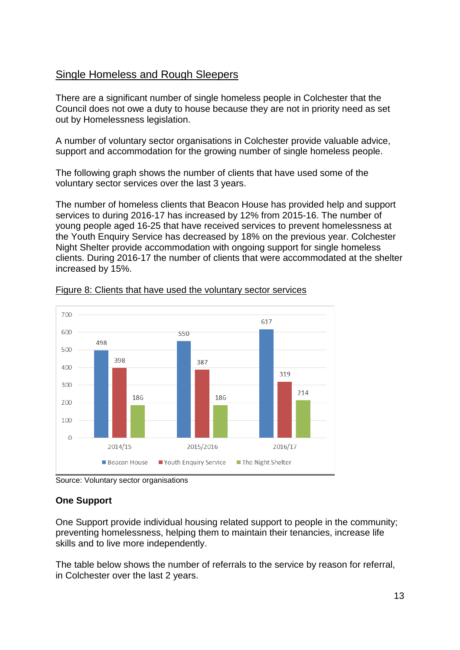# Single Homeless and Rough Sleepers

There are a significant number of single homeless people in Colchester that the Council does not owe a duty to house because they are not in priority need as set out by Homelessness legislation.

A number of voluntary sector organisations in Colchester provide valuable advice, support and accommodation for the growing number of single homeless people.

The following graph shows the number of clients that have used some of the voluntary sector services over the last 3 years.

The number of homeless clients that Beacon House has provided help and support services to during 2016-17 has increased by 12% from 2015-16. The number of young people aged 16-25 that have received services to prevent homelessness at the Youth Enquiry Service has decreased by 18% on the previous year. Colchester Night Shelter provide accommodation with ongoing support for single homeless clients. During 2016-17 the number of clients that were accommodated at the shelter increased by 15%.



Figure 8: Clients that have used the voluntary sector services

Source: Voluntary sector organisations

# **One Support**

One Support provide individual housing related support to people in the community; preventing homelessness, helping them to maintain their tenancies, increase life skills and to live more independently.

The table below shows the number of referrals to the service by reason for referral, in Colchester over the last 2 years.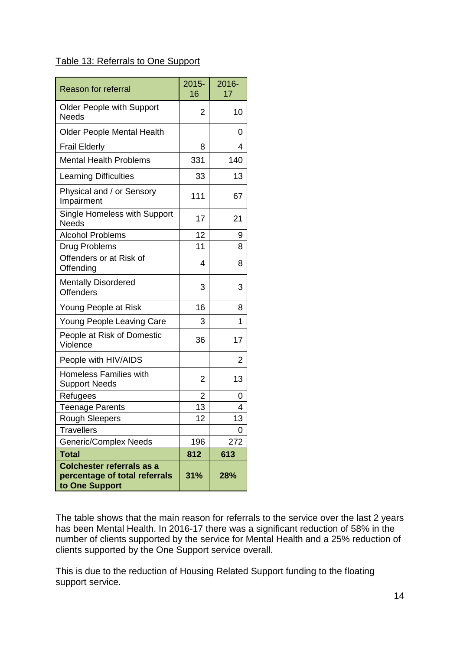# Table 13: Referrals to One Support

| <b>Reason for referral</b>                                                          | $2015 -$<br>16 | 2016-<br>17 |
|-------------------------------------------------------------------------------------|----------------|-------------|
| <b>Older People with Support</b><br><b>Needs</b>                                    | 2              | 10          |
| <b>Older People Mental Health</b>                                                   |                | 0           |
| <b>Frail Elderly</b>                                                                | 8              | 4           |
| <b>Mental Health Problems</b>                                                       | 331            | 140         |
| <b>Learning Difficulties</b>                                                        | 33             | 13          |
| Physical and / or Sensory<br>Impairment                                             | 111            | 67          |
| Single Homeless with Support<br><b>Needs</b>                                        | 17             | 21          |
| <b>Alcohol Problems</b>                                                             | 12             | 9           |
| Drug Problems                                                                       | 11             | 8           |
| Offenders or at Risk of<br>Offending                                                | 4              | 8           |
| <b>Mentally Disordered</b><br><b>Offenders</b>                                      | 3              | 3           |
| Young People at Risk                                                                | 16             | 8           |
| <b>Young People Leaving Care</b>                                                    | 3              | 1           |
| People at Risk of Domestic<br>Violence                                              | 36             | 17          |
| People with HIV/AIDS                                                                |                | 2           |
| <b>Homeless Families with</b><br><b>Support Needs</b>                               | 2              | 13          |
| Refugees                                                                            | 2              | O           |
| <b>Teenage Parents</b>                                                              | 13             | 4           |
| <b>Rough Sleepers</b>                                                               | 12             | 13          |
| <b>Travellers</b>                                                                   |                | 0           |
| <b>Generic/Complex Needs</b>                                                        | 196            | 272         |
| <b>Total</b>                                                                        | 812            | 613         |
| <b>Colchester referrals as a</b><br>percentage of total referrals<br>to One Support | 31%            | 28%         |

The table shows that the main reason for referrals to the service over the last 2 years has been Mental Health. In 2016-17 there was a significant reduction of 58% in the number of clients supported by the service for Mental Health and a 25% reduction of clients supported by the One Support service overall.

This is due to the reduction of Housing Related Support funding to the floating support service.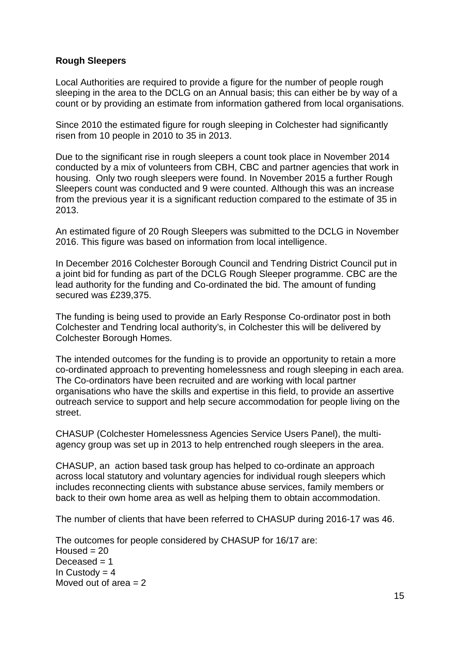#### **Rough Sleepers**

Local Authorities are required to provide a figure for the number of people rough sleeping in the area to the DCLG on an Annual basis; this can either be by way of a count or by providing an estimate from information gathered from local organisations.

Since 2010 the estimated figure for rough sleeping in Colchester had significantly risen from 10 people in 2010 to 35 in 2013.

Due to the significant rise in rough sleepers a count took place in November 2014 conducted by a mix of volunteers from CBH, CBC and partner agencies that work in housing. Only two rough sleepers were found. In November 2015 a further Rough Sleepers count was conducted and 9 were counted. Although this was an increase from the previous year it is a significant reduction compared to the estimate of 35 in 2013.

An estimated figure of 20 Rough Sleepers was submitted to the DCLG in November 2016. This figure was based on information from local intelligence.

In December 2016 Colchester Borough Council and Tendring District Council put in a joint bid for funding as part of the DCLG Rough Sleeper programme. CBC are the lead authority for the funding and Co-ordinated the bid. The amount of funding secured was £239,375.

The funding is being used to provide an Early Response Co-ordinator post in both Colchester and Tendring local authority's, in Colchester this will be delivered by Colchester Borough Homes.

The intended outcomes for the funding is to provide an opportunity to retain a more co-ordinated approach to preventing homelessness and rough sleeping in each area. The Co-ordinators have been recruited and are working with local partner organisations who have the skills and expertise in this field, to provide an assertive outreach service to support and help secure accommodation for people living on the street.

CHASUP (Colchester Homelessness Agencies Service Users Panel), the multiagency group was set up in 2013 to help entrenched rough sleepers in the area.

CHASUP, an action based task group has helped to co-ordinate an approach across local statutory and voluntary agencies for individual rough sleepers which includes reconnecting clients with substance abuse services, family members or back to their own home area as well as helping them to obtain accommodation.

The number of clients that have been referred to CHASUP during 2016-17 was 46.

The outcomes for people considered by CHASUP for 16/17 are: Housed  $= 20$ Deceased  $= 1$ In Custody  $= 4$ Moved out of area  $= 2$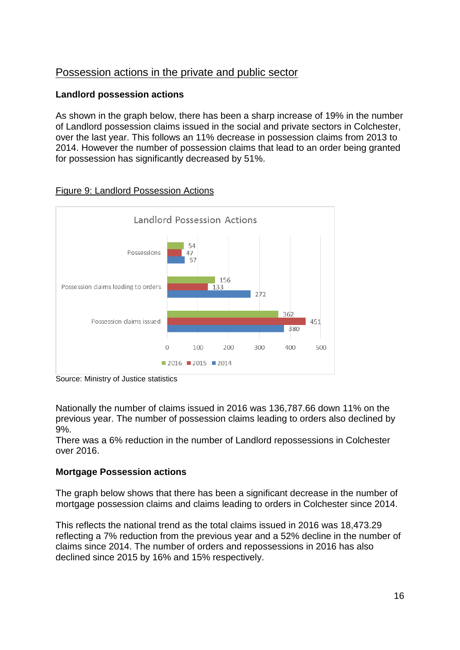# Possession actions in the private and public sector

# **Landlord possession actions**

As shown in the graph below, there has been a sharp increase of 19% in the number of Landlord possession claims issued in the social and private sectors in Colchester, over the last year. This follows an 11% decrease in possession claims from 2013 to 2014. However the number of possession claims that lead to an order being granted for possession has significantly decreased by 51%.



# Figure 9: Landlord Possession Actions

Source: Ministry of Justice statistics

Nationally the number of claims issued in 2016 was 136,787.66 down 11% on the previous year. The number of possession claims leading to orders also declined by 9%.

There was a 6% reduction in the number of Landlord repossessions in Colchester over 2016.

# **Mortgage Possession actions**

The graph below shows that there has been a significant decrease in the number of mortgage possession claims and claims leading to orders in Colchester since 2014.

This reflects the national trend as the total claims issued in 2016 was 18,473.29 reflecting a 7% reduction from the previous year and a 52% decline in the number of claims since 2014. The number of orders and repossessions in 2016 has also declined since 2015 by 16% and 15% respectively.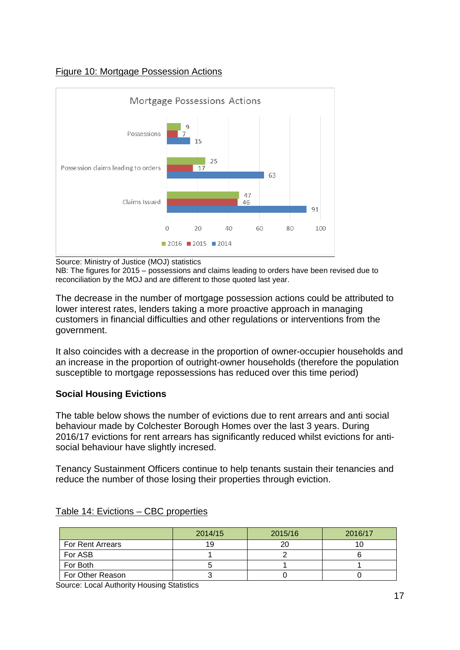### Figure 10: Mortgage Possession Actions



Source: Ministry of Justice (MOJ) statistics

NB: The figures for 2015 – possessions and claims leading to orders have been revised due to reconciliation by the MOJ and are different to those quoted last year.

The decrease in the number of mortgage possession actions could be attributed to lower interest rates, lenders taking a more proactive approach in managing customers in financial difficulties and other regulations or interventions from the government.

It also coincides with a decrease in the proportion of owner-occupier households and an increase in the proportion of outright-owner households (therefore the population susceptible to mortgage repossessions has reduced over this time period)

# **Social Housing Evictions**

The table below shows the number of evictions due to rent arrears and anti social behaviour made by Colchester Borough Homes over the last 3 years. During 2016/17 evictions for rent arrears has significantly reduced whilst evictions for antisocial behaviour have slightly incresed.

Tenancy Sustainment Officers continue to help tenants sustain their tenancies and reduce the number of those losing their properties through eviction.

|                         | 2014/15 | 2015/16 | 2016/17 |
|-------------------------|---------|---------|---------|
| <b>For Rent Arrears</b> |         | 20      |         |
| For ASB                 |         |         |         |
| For Both                |         |         |         |
| For Other Reason        |         |         |         |

#### Table 14: Evictions – CBC properties

Source: Local Authority Housing Statistics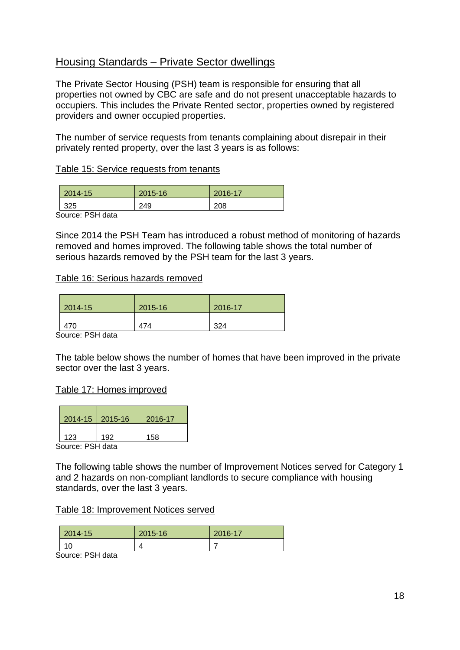# Housing Standards – Private Sector dwellings

The Private Sector Housing (PSH) team is responsible for ensuring that all properties not owned by CBC are safe and do not present unacceptable hazards to occupiers. This includes the Private Rented sector, properties owned by registered providers and owner occupied properties.

The number of service requests from tenants complaining about disrepair in their privately rented property, over the last 3 years is as follows:

#### Table 15: Service requests from tenants

| $2014 - 15$                          | 2015-16 | 2016-17 |
|--------------------------------------|---------|---------|
| 325                                  | 249     | 208     |
| $\mathbf{a}$ .  not the $\mathbf{a}$ |         |         |

Source: PSH data

Since 2014 the PSH Team has introduced a robust method of monitoring of hazards removed and homes improved. The following table shows the total number of serious hazards removed by the PSH team for the last 3 years.

#### Table 16: Serious hazards removed

| 2014-15                        | 2015-16 | 2016-17 |
|--------------------------------|---------|---------|
| 470                            | 474     | 324     |
| $\sim$ $\sim$ $\sim$<br>-<br>. |         |         |

Source: PSH data

The table below shows the number of homes that have been improved in the private sector over the last 3 years.

#### Table 17: Homes improved

| 2014-15   2015-16 |     | 2016-17 |
|-------------------|-----|---------|
| 123               | 192 | 158     |
| Pauroo: DC∐ doto  |     |         |

Source: PSH data

The following table shows the number of Improvement Notices served for Category 1 and 2 hazards on non-compliant landlords to secure compliance with housing standards, over the last 3 years.

#### Table 18: Improvement Notices served

| 2014-15  | 2015-16                  | 2016-17 |
|----------|--------------------------|---------|
| 10<br>טו | $\overline{\phantom{a}}$ |         |

Source: PSH data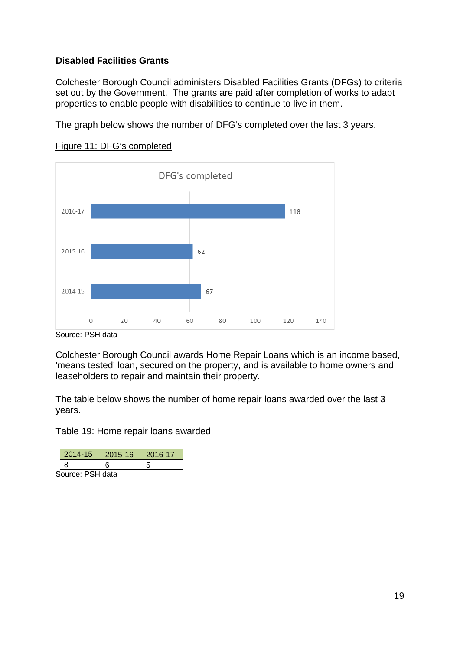# **Disabled Facilities Grants**

Colchester Borough Council administers Disabled Facilities Grants (DFGs) to criteria set out by the Government. The grants are paid after completion of works to adapt properties to enable people with disabilities to continue to live in them.

The graph below shows the number of DFG's completed over the last 3 years.





Source: PSH data

Colchester Borough Council awards Home Repair Loans which is an income based, 'means tested' loan, secured on the property, and is available to home owners and leaseholders to repair and maintain their property.

The table below shows the number of home repair loans awarded over the last 3 years.

Table 19: Home repair loans awarded

| 14-15 | $2015 - 16$ | 2016-17 |
|-------|-------------|---------|
|       |             |         |

Source: PSH data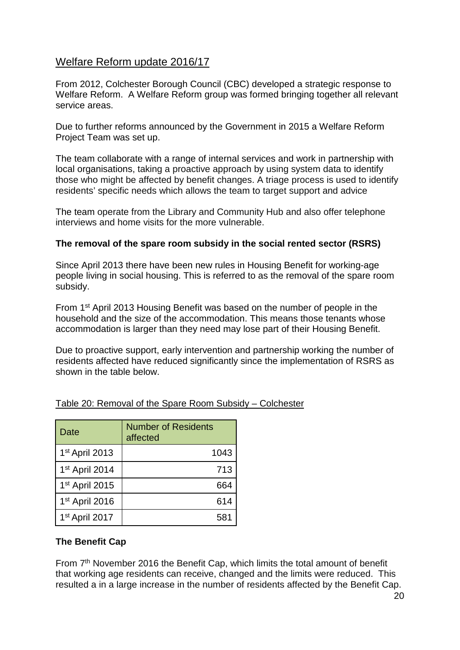# Welfare Reform update 2016/17

From 2012, Colchester Borough Council (CBC) developed a strategic response to Welfare Reform. A Welfare Reform group was formed bringing together all relevant service areas.

Due to further reforms announced by the Government in 2015 a Welfare Reform Project Team was set up.

The team collaborate with a range of internal services and work in partnership with local organisations, taking a proactive approach by using system data to identify those who might be affected by benefit changes. A triage process is used to identify residents' specific needs which allows the team to target support and advice

The team operate from the Library and Community Hub and also offer telephone interviews and home visits for the more vulnerable.

#### **The removal of the spare room subsidy in the social rented sector (RSRS)**

Since April 2013 there have been new rules in Housing Benefit for working-age people living in social housing. This is referred to as the removal of the spare room subsidy.

From 1st April 2013 Housing Benefit was based on the number of people in the household and the size of the accommodation. This means those tenants whose accommodation is larger than they need may lose part of their Housing Benefit.

Due to proactive support, early intervention and partnership working the number of residents affected have reduced significantly since the implementation of RSRS as shown in the table below.

| Date                       | <b>Number of Residents</b><br>affected |
|----------------------------|----------------------------------------|
| 1 <sup>st</sup> April 2013 | 1043                                   |
| 1 <sup>st</sup> April 2014 | 713                                    |
| 1 <sup>st</sup> April 2015 | 664                                    |
| 1 <sup>st</sup> April 2016 | 614                                    |
| 1 <sup>st</sup> April 2017 | 581                                    |

# Table 20: Removal of the Spare Room Subsidy – Colchester

#### **The Benefit Cap**

From 7<sup>th</sup> November 2016 the Benefit Cap, which limits the total amount of benefit that working age residents can receive, changed and the limits were reduced. This resulted a in a large increase in the number of residents affected by the Benefit Cap.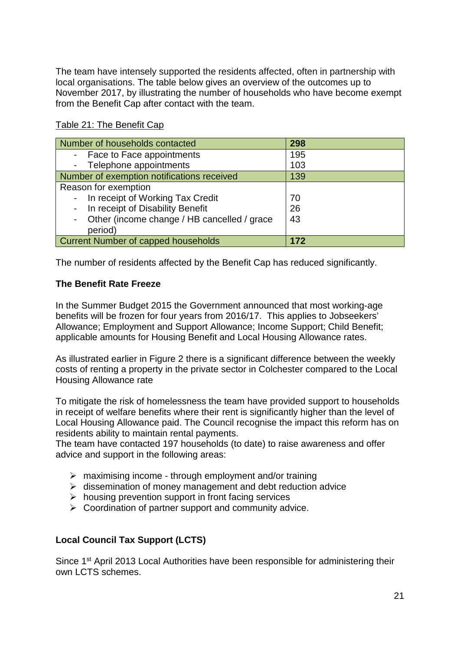The team have intensely supported the residents affected, often in partnership with local organisations. The table below gives an overview of the outcomes up to November 2017, by illustrating the number of households who have become exempt from the Benefit Cap after contact with the team.

| Table 21: The Benefit Cap |
|---------------------------|
|---------------------------|

| Number of households contacted              | 298 |
|---------------------------------------------|-----|
| - Face to Face appointments                 | 195 |
| - Telephone appointments                    | 103 |
| Number of exemption notifications received  | 139 |
| Reason for exemption                        |     |
| In receipt of Working Tax Credit            | 70  |
| In receipt of Disability Benefit            | 26  |
| Other (income change / HB cancelled / grace | 43  |
| period)                                     |     |
| <b>Current Number of capped households</b>  | 172 |

The number of residents affected by the Benefit Cap has reduced significantly.

# **The Benefit Rate Freeze**

In the Summer Budget 2015 the Government announced that most working-age benefits will be frozen for four years from 2016/17. This applies to Jobseekers' Allowance; Employment and Support Allowance; Income Support; Child Benefit; applicable amounts for Housing Benefit and Local Housing Allowance rates.

As illustrated earlier in Figure 2 there is a significant difference between the weekly costs of renting a property in the private sector in Colchester compared to the Local Housing Allowance rate

To mitigate the risk of homelessness the team have provided support to households in receipt of welfare benefits where their rent is significantly higher than the level of Local Housing Allowance paid. The Council recognise the impact this reform has on residents ability to maintain rental payments.

The team have contacted 197 households (to date) to raise awareness and offer advice and support in the following areas:

- $\triangleright$  maximising income through employment and/or training
- $\triangleright$  dissemination of money management and debt reduction advice
- $\triangleright$  housing prevention support in front facing services
- $\triangleright$  Coordination of partner support and community advice.

# **Local Council Tax Support (LCTS)**

Since 1<sup>st</sup> April 2013 Local Authorities have been responsible for administering their own LCTS schemes.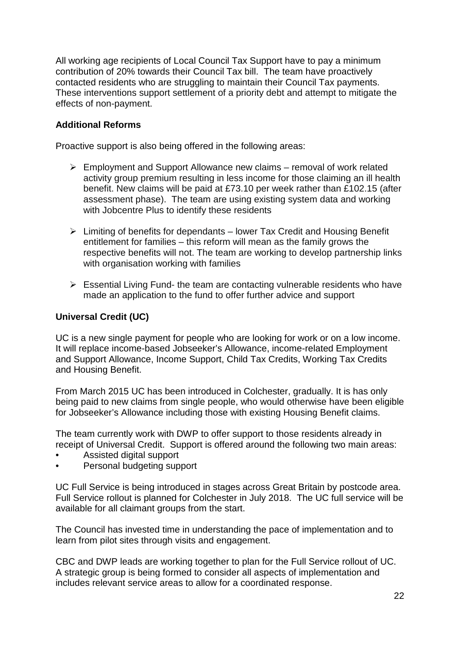All working age recipients of Local Council Tax Support have to pay a minimum contribution of 20% towards their Council Tax bill. The team have proactively contacted residents who are struggling to maintain their Council Tax payments. These interventions support settlement of a priority debt and attempt to mitigate the effects of non-payment.

# **Additional Reforms**

Proactive support is also being offered in the following areas:

- $\triangleright$  Employment and Support Allowance new claims removal of work related activity group premium resulting in less income for those claiming an ill health benefit. New claims will be paid at £73.10 per week rather than £102.15 (after assessment phase). The team are using existing system data and working with Jobcentre Plus to identify these residents
- $\triangleright$  Limiting of benefits for dependants lower Tax Credit and Housing Benefit entitlement for families – this reform will mean as the family grows the respective benefits will not. The team are working to develop partnership links with organisation working with families
- $\triangleright$  Essential Living Fund- the team are contacting vulnerable residents who have made an application to the fund to offer further advice and support

# **Universal Credit (UC)**

UC is a new single payment for people who are looking for work or on a low income. It will replace income-based Jobseeker's Allowance, income-related Employment and Support Allowance, Income Support, Child Tax Credits, Working Tax Credits and Housing Benefit.

From March 2015 UC has been introduced in Colchester, gradually. It is has only being paid to new claims from single people, who would otherwise have been eligible for Jobseeker's Allowance including those with existing Housing Benefit claims.

The team currently work with DWP to offer support to those residents already in receipt of Universal Credit. Support is offered around the following two main areas:

- Assisted digital support
- Personal budgeting support

UC Full Service is being introduced in stages across Great Britain by postcode area. Full Service rollout is planned for Colchester in July 2018. The UC full service will be available for all claimant groups from the start.

The Council has invested time in understanding the pace of implementation and to learn from pilot sites through visits and engagement.

CBC and DWP leads are working together to plan for the Full Service rollout of UC. A strategic group is being formed to consider all aspects of implementation and includes relevant service areas to allow for a coordinated response.